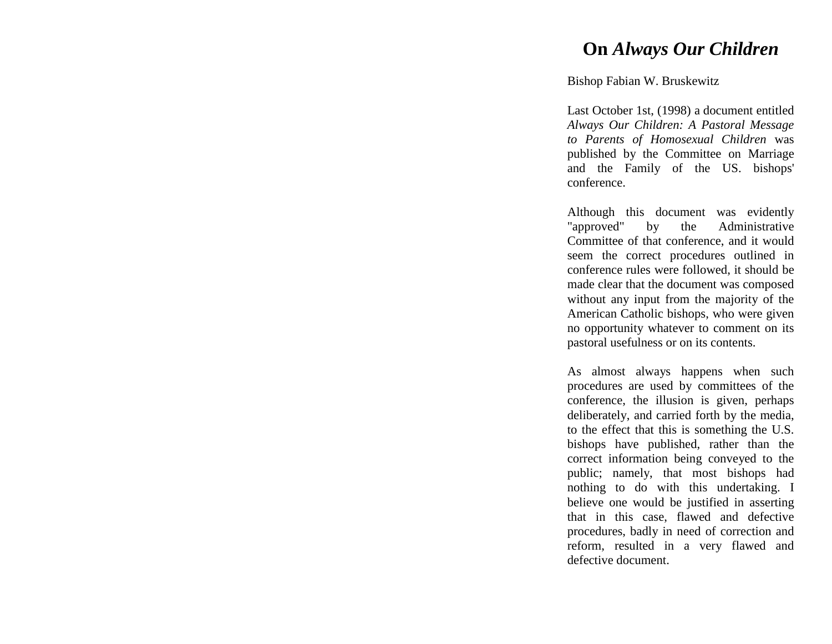## **On** *Always Our Children*

## Bishop Fabian W. Bruskewitz

Last October 1st, (1998) a document entitled *Always Our Children: A Pastoral Message to Parents of Homosexual Children* was published by the Committee on Marriage and the Family of the US. bishops' conference.

Although this document was evidently<br>"approved" by the Administrative by the Administrative Committee of that conference, and it would seem the correct procedures outlined in conference rules were followed, it should be made clear that the document was composed without any input from the majority of the American Catholic bishops, who were given no opportunity whatever to comment on its pastoral usefulness or on its contents.

As almost always happens when such procedures are used by committees of the conference, the illusion is given, perhaps deliberately, and carried forth by the media, to the effect that this is something the U.S. bishops have published, rather than the correct information being conveyed to the public; namely, that most bishops had nothing to do with this undertaking. I believe one would be justified in asserting that in this case, flawed and defective procedures, badly in need of correction and reform, resulted in a very flawed and defective document.